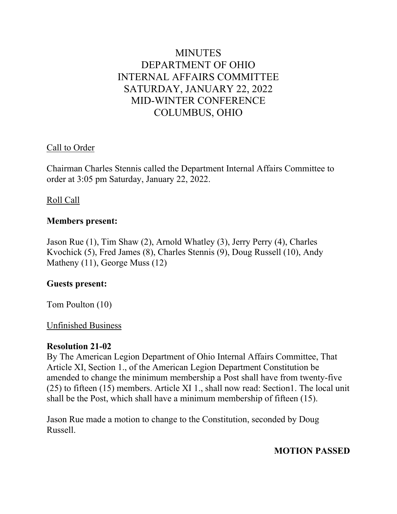# **MINUTES** DEPARTMENT OF OHIO INTERNAL AFFAIRS COMMITTEE SATURDAY, JANUARY 22, 2022 MID-WINTER CONFERENCE COLUMBUS, OHIO

# Call to Order

Chairman Charles Stennis called the Department Internal Affairs Committee to order at 3:05 pm Saturday, January 22, 2022.

#### Roll Call

#### **Members present:**

Jason Rue (1), Tim Shaw (2), Arnold Whatley (3), Jerry Perry (4), Charles Kvochick (5), Fred James (8), Charles Stennis (9), Doug Russell (10), Andy Matheny (11), George Muss (12)

#### **Guests present:**

Tom Poulton (10)

#### Unfinished Business

#### **Resolution 21-02**

By The American Legion Department of Ohio Internal Affairs Committee, That Article XI, Section 1., of the American Legion Department Constitution be amended to change the minimum membership a Post shall have from twenty-five (25) to fifteen (15) members. Article XI 1., shall now read: Section1. The local unit shall be the Post, which shall have a minimum membership of fifteen (15).

Jason Rue made a motion to change to the Constitution, seconded by Doug Russell.

# **MOTION PASSED**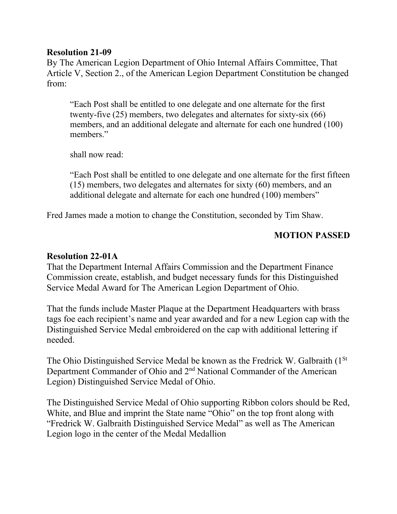# **Resolution 21-09**

By The American Legion Department of Ohio Internal Affairs Committee, That Article V, Section 2., of the American Legion Department Constitution be changed from:

"Each Post shall be entitled to one delegate and one alternate for the first twenty-five (25) members, two delegates and alternates for sixty-six (66) members, and an additional delegate and alternate for each one hundred (100) members."

shall now read:

"Each Post shall be entitled to one delegate and one alternate for the first fifteen (15) members, two delegates and alternates for sixty (60) members, and an additional delegate and alternate for each one hundred (100) members"

Fred James made a motion to change the Constitution, seconded by Tim Shaw.

# **MOTION PASSED**

# **Resolution 22-01A**

That the Department Internal Affairs Commission and the Department Finance Commission create, establish, and budget necessary funds for this Distinguished Service Medal Award for The American Legion Department of Ohio.

That the funds include Master Plaque at the Department Headquarters with brass tags foe each recipient's name and year awarded and for a new Legion cap with the Distinguished Service Medal embroidered on the cap with additional lettering if needed.

The Ohio Distinguished Service Medal be known as the Fredrick W. Galbraith (1<sup>St</sup>) Department Commander of Ohio and 2nd National Commander of the American Legion) Distinguished Service Medal of Ohio.

The Distinguished Service Medal of Ohio supporting Ribbon colors should be Red, White, and Blue and imprint the State name "Ohio" on the top front along with "Fredrick W. Galbraith Distinguished Service Medal" as well as The American Legion logo in the center of the Medal Medallion